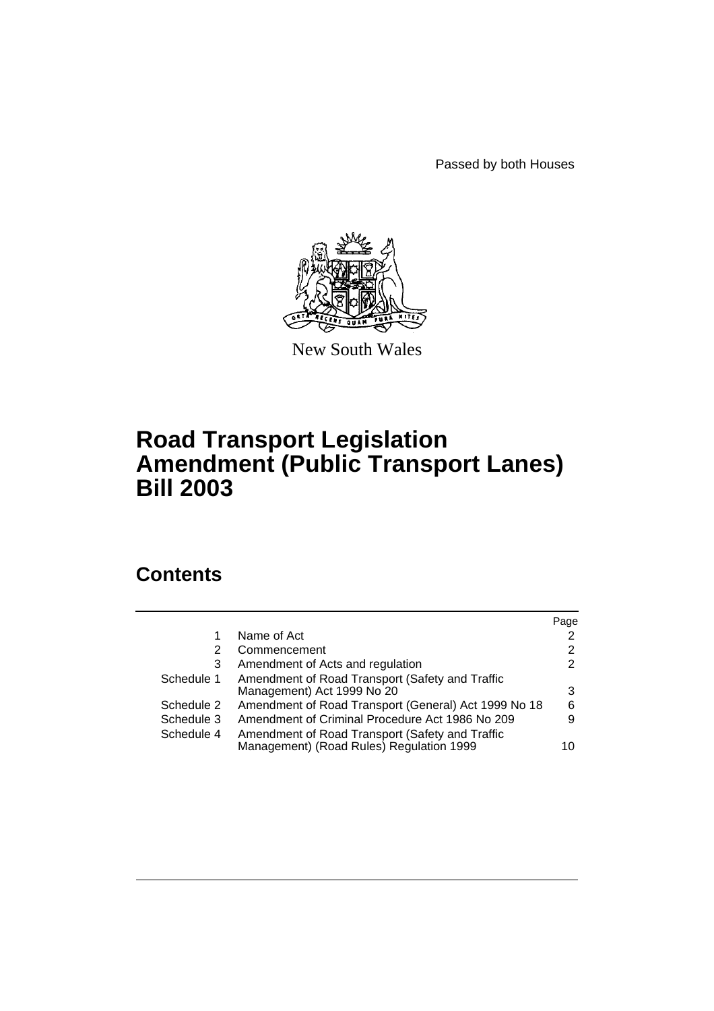Passed by both Houses



New South Wales

# **Road Transport Legislation Amendment (Public Transport Lanes) Bill 2003**

# **Contents**

|            |                                                                                             | Page |
|------------|---------------------------------------------------------------------------------------------|------|
|            | Name of Act                                                                                 | 2    |
| 2          | Commencement                                                                                | 2    |
| 3          | Amendment of Acts and regulation                                                            | 2    |
| Schedule 1 | Amendment of Road Transport (Safety and Traffic<br>Management) Act 1999 No 20               | 3    |
| Schedule 2 | Amendment of Road Transport (General) Act 1999 No 18                                        | 6    |
| Schedule 3 | Amendment of Criminal Procedure Act 1986 No 209                                             | 9    |
| Schedule 4 | Amendment of Road Transport (Safety and Traffic<br>Management) (Road Rules) Regulation 1999 | 10   |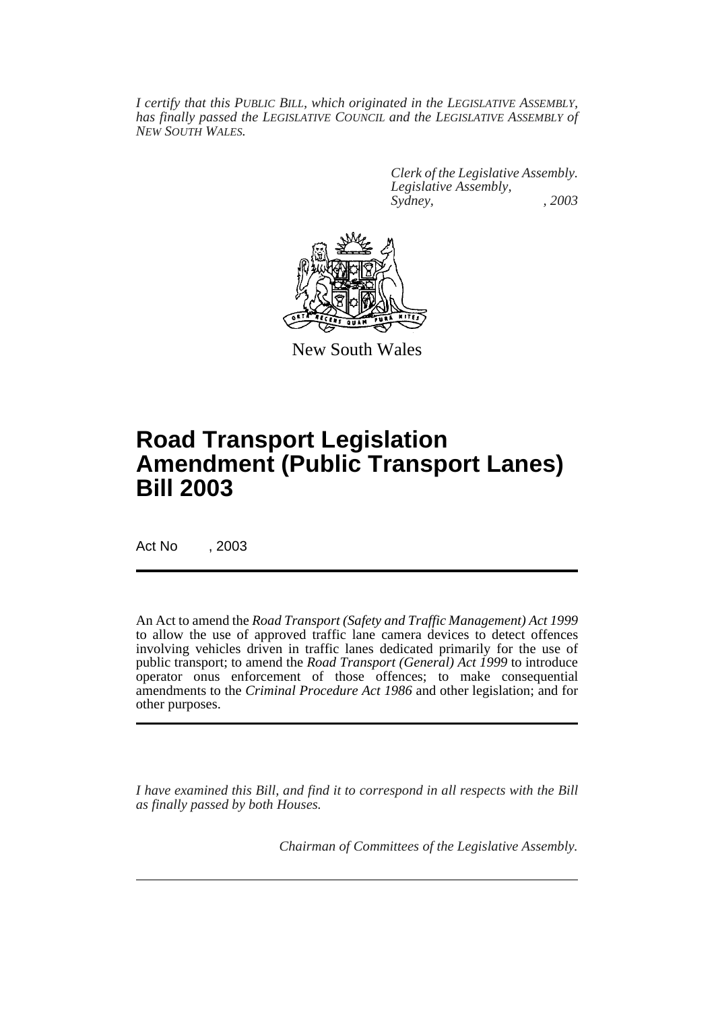*I certify that this PUBLIC BILL, which originated in the LEGISLATIVE ASSEMBLY, has finally passed the LEGISLATIVE COUNCIL and the LEGISLATIVE ASSEMBLY of NEW SOUTH WALES.*

> *Clerk of the Legislative Assembly. Legislative Assembly, Sydney, , 2003*



New South Wales

# **Road Transport Legislation Amendment (Public Transport Lanes) Bill 2003**

Act No , 2003

An Act to amend the *Road Transport (Safety and Traffic Management) Act 1999* to allow the use of approved traffic lane camera devices to detect offences involving vehicles driven in traffic lanes dedicated primarily for the use of public transport; to amend the *Road Transport (General) Act 1999* to introduce operator onus enforcement of those offences; to make consequential amendments to the *Criminal Procedure Act 1986* and other legislation; and for other purposes.

*I have examined this Bill, and find it to correspond in all respects with the Bill as finally passed by both Houses.*

*Chairman of Committees of the Legislative Assembly.*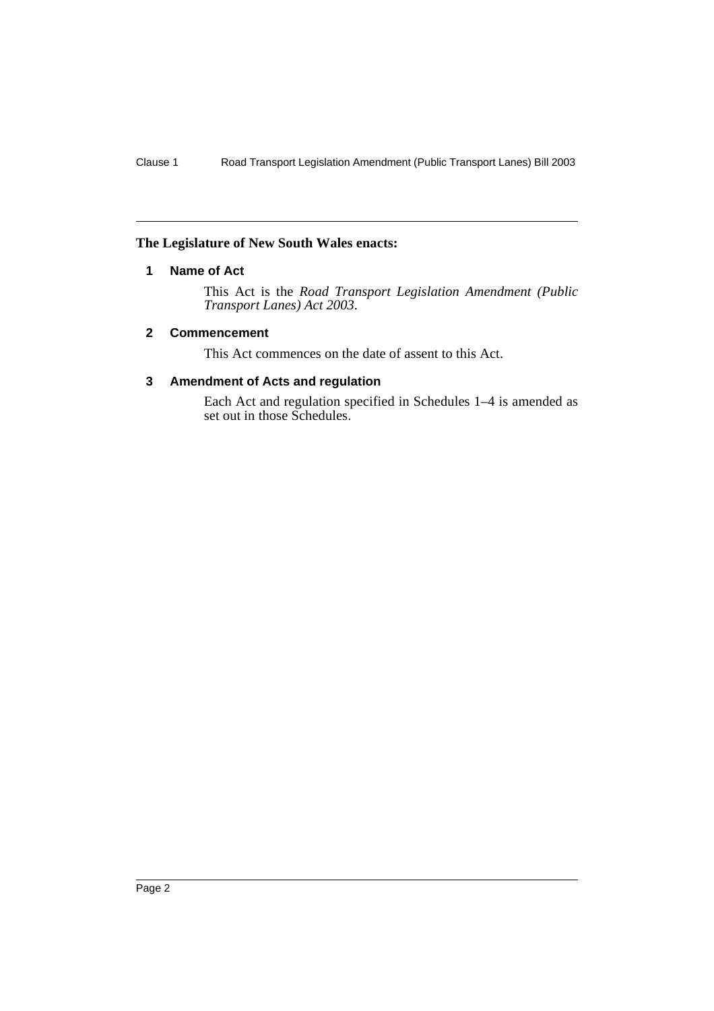## **The Legislature of New South Wales enacts:**

## **1 Name of Act**

This Act is the *Road Transport Legislation Amendment (Public Transport Lanes) Act 2003*.

#### **2 Commencement**

This Act commences on the date of assent to this Act.

#### **3 Amendment of Acts and regulation**

Each Act and regulation specified in Schedules 1–4 is amended as set out in those Schedules.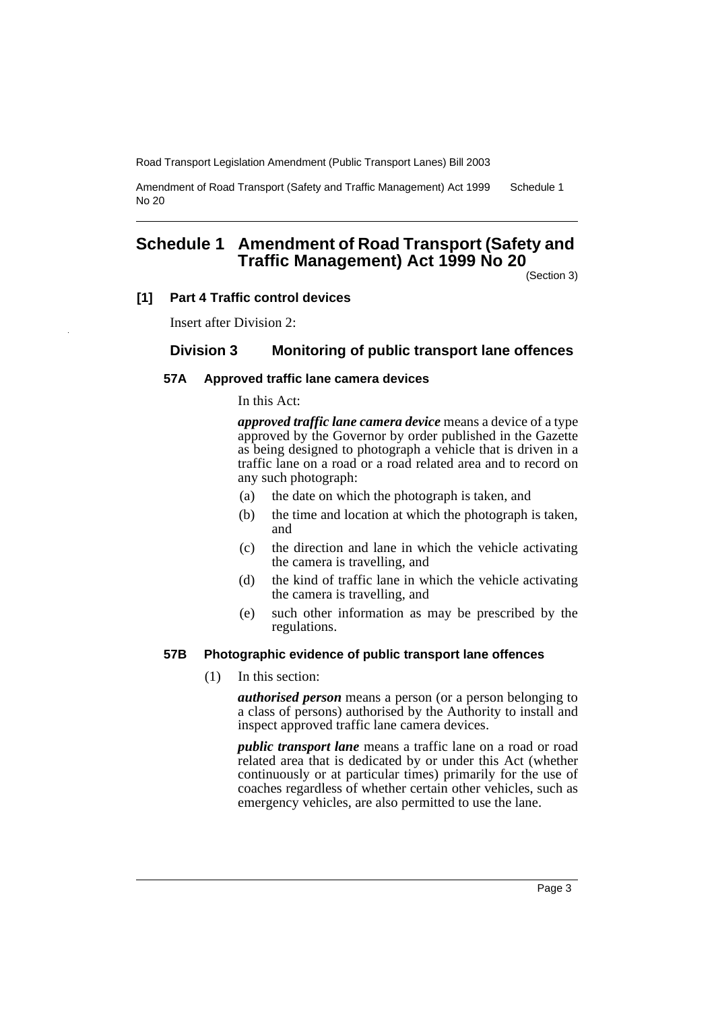Amendment of Road Transport (Safety and Traffic Management) Act 1999 No 20 Schedule 1

# **Schedule 1 Amendment of Road Transport (Safety and Traffic Management) Act 1999 No 20**

(Section 3)

#### **[1] Part 4 Traffic control devices**

Insert after Division 2:

## **Division 3 Monitoring of public transport lane offences**

#### **57A Approved traffic lane camera devices**

In this Act:

*approved traffic lane camera device* means a device of a type approved by the Governor by order published in the Gazette as being designed to photograph a vehicle that is driven in a traffic lane on a road or a road related area and to record on any such photograph:

- (a) the date on which the photograph is taken, and
- (b) the time and location at which the photograph is taken, and
- (c) the direction and lane in which the vehicle activating the camera is travelling, and
- (d) the kind of traffic lane in which the vehicle activating the camera is travelling, and
- (e) such other information as may be prescribed by the regulations.

#### **57B Photographic evidence of public transport lane offences**

(1) In this section:

*authorised person* means a person (or a person belonging to a class of persons) authorised by the Authority to install and inspect approved traffic lane camera devices.

*public transport lane* means a traffic lane on a road or road related area that is dedicated by or under this Act (whether continuously or at particular times) primarily for the use of coaches regardless of whether certain other vehicles, such as emergency vehicles, are also permitted to use the lane.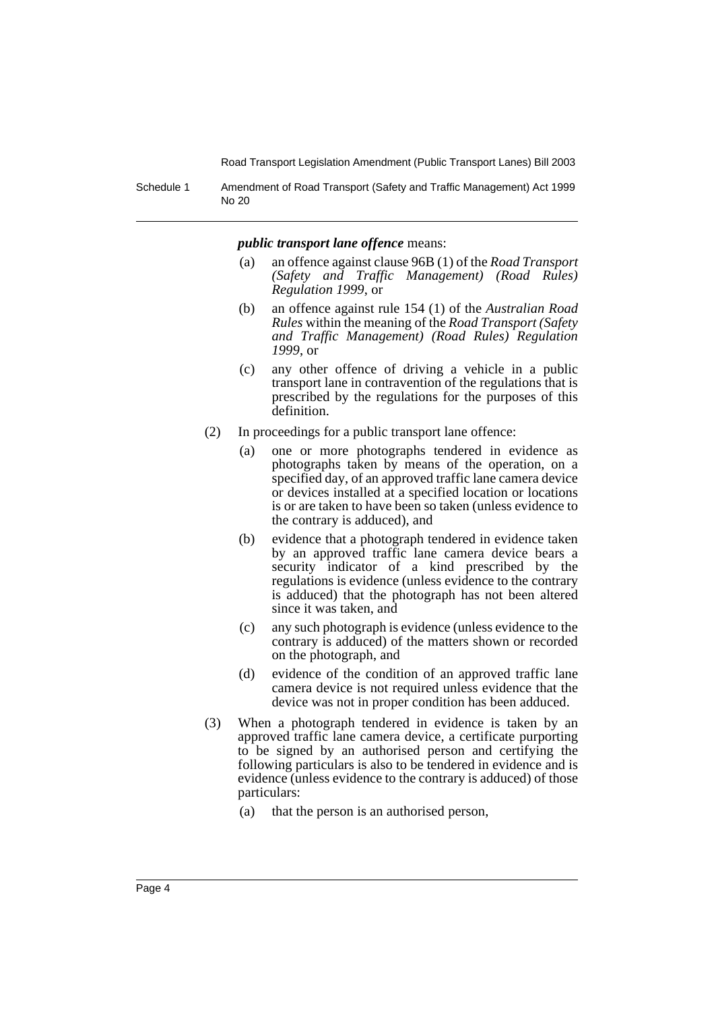Schedule 1 Amendment of Road Transport (Safety and Traffic Management) Act 1999 No 20

#### *public transport lane offence* means:

- (a) an offence against clause 96B (1) of the *Road Transport (Safety and Traffic Management) (Road Rules) Regulation 1999*, or
- (b) an offence against rule 154 (1) of the *Australian Road Rules* within the meaning of the *Road Transport (Safety and Traffic Management) (Road Rules) Regulation 1999*, or
- (c) any other offence of driving a vehicle in a public transport lane in contravention of the regulations that is prescribed by the regulations for the purposes of this definition.
- (2) In proceedings for a public transport lane offence:
	- (a) one or more photographs tendered in evidence as photographs taken by means of the operation, on a specified day, of an approved traffic lane camera device or devices installed at a specified location or locations is or are taken to have been so taken (unless evidence to the contrary is adduced), and
	- (b) evidence that a photograph tendered in evidence taken by an approved traffic lane camera device bears a security indicator of a kind prescribed by the regulations is evidence (unless evidence to the contrary is adduced) that the photograph has not been altered since it was taken, and
	- (c) any such photograph is evidence (unless evidence to the contrary is adduced) of the matters shown or recorded on the photograph, and
	- (d) evidence of the condition of an approved traffic lane camera device is not required unless evidence that the device was not in proper condition has been adduced.
- (3) When a photograph tendered in evidence is taken by an approved traffic lane camera device, a certificate purporting to be signed by an authorised person and certifying the following particulars is also to be tendered in evidence and is evidence (unless evidence to the contrary is adduced) of those particulars:
	- (a) that the person is an authorised person,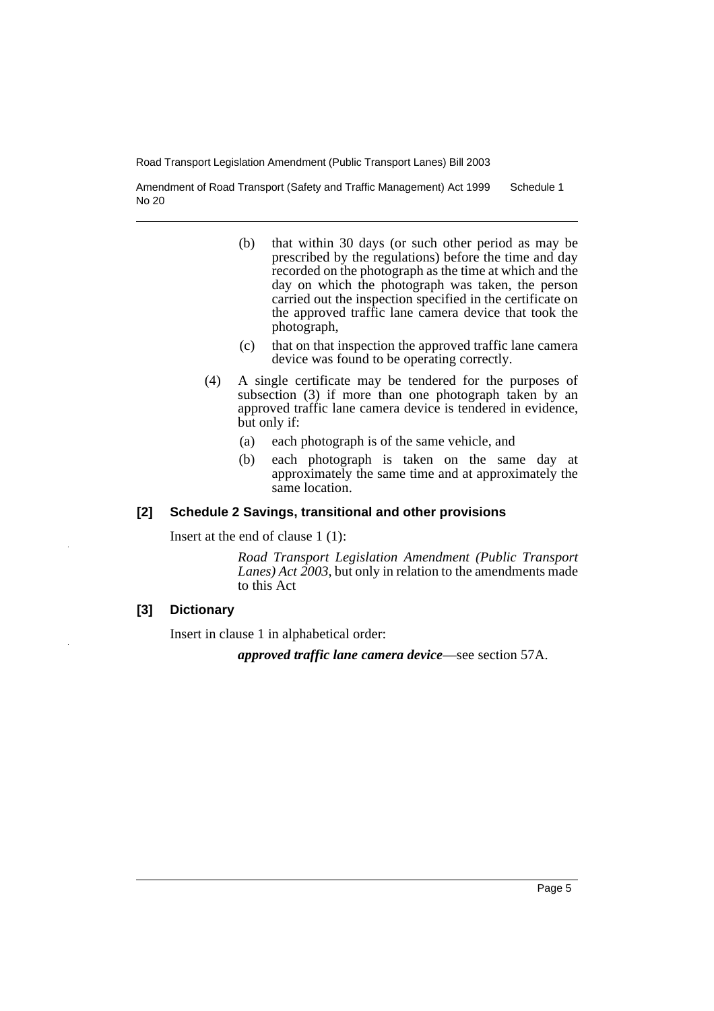Amendment of Road Transport (Safety and Traffic Management) Act 1999 No 20 Schedule 1

- (b) that within 30 days (or such other period as may be prescribed by the regulations) before the time and day recorded on the photograph as the time at which and the day on which the photograph was taken, the person carried out the inspection specified in the certificate on the approved traffic lane camera device that took the photograph,
- (c) that on that inspection the approved traffic lane camera device was found to be operating correctly.
- (4) A single certificate may be tendered for the purposes of subsection (3) if more than one photograph taken by an approved traffic lane camera device is tendered in evidence, but only if:
	- (a) each photograph is of the same vehicle, and
	- (b) each photograph is taken on the same day at approximately the same time and at approximately the same location.

#### **[2] Schedule 2 Savings, transitional and other provisions**

Insert at the end of clause 1 (1):

*Road Transport Legislation Amendment (Public Transport Lanes) Act 2003*, but only in relation to the amendments made to this Act

#### **[3] Dictionary**

Insert in clause 1 in alphabetical order:

*approved traffic lane camera device*—see section 57A.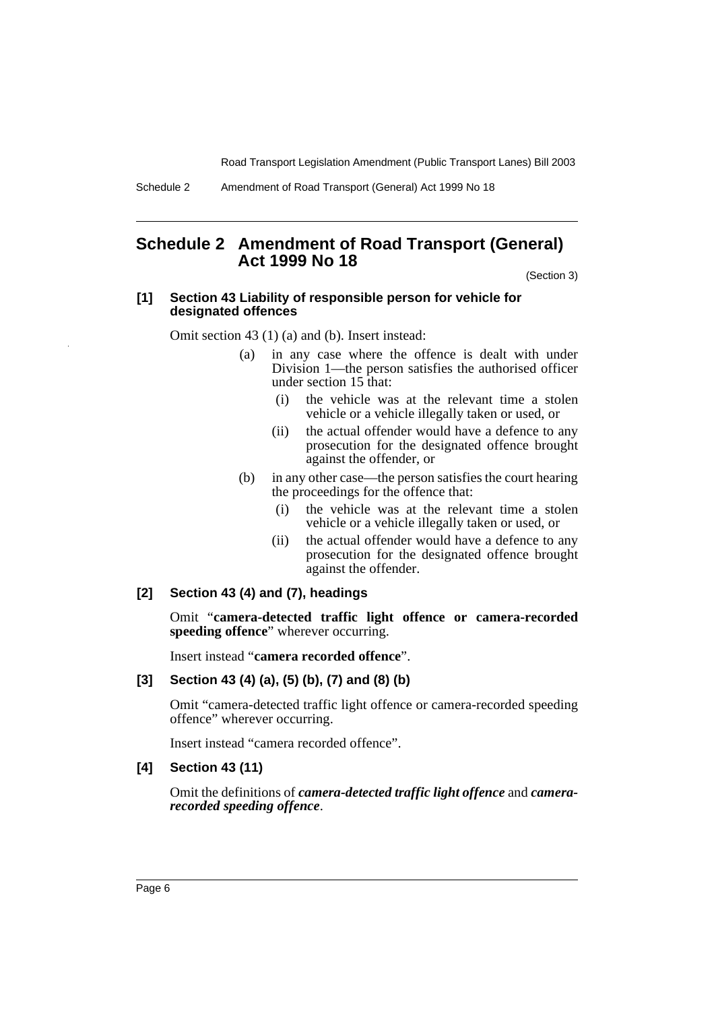# **Schedule 2 Amendment of Road Transport (General) Act 1999 No 18**

(Section 3)

#### **[1] Section 43 Liability of responsible person for vehicle for designated offences**

Omit section 43 (1) (a) and (b). Insert instead:

- (a) in any case where the offence is dealt with under Division 1—the person satisfies the authorised officer under section 15 that:
	- (i) the vehicle was at the relevant time a stolen vehicle or a vehicle illegally taken or used, or
	- (ii) the actual offender would have a defence to any prosecution for the designated offence brought against the offender, or
- (b) in any other case—the person satisfies the court hearing the proceedings for the offence that:
	- (i) the vehicle was at the relevant time a stolen vehicle or a vehicle illegally taken or used, or
	- (ii) the actual offender would have a defence to any prosecution for the designated offence brought against the offender.

### **[2] Section 43 (4) and (7), headings**

Omit "**camera-detected traffic light offence or camera-recorded speeding offence**" wherever occurring.

Insert instead "**camera recorded offence**".

#### **[3] Section 43 (4) (a), (5) (b), (7) and (8) (b)**

Omit "camera-detected traffic light offence or camera-recorded speeding offence" wherever occurring.

Insert instead "camera recorded offence".

#### **[4] Section 43 (11)**

Omit the definitions of *camera-detected traffic light offence* and *camerarecorded speeding offence*.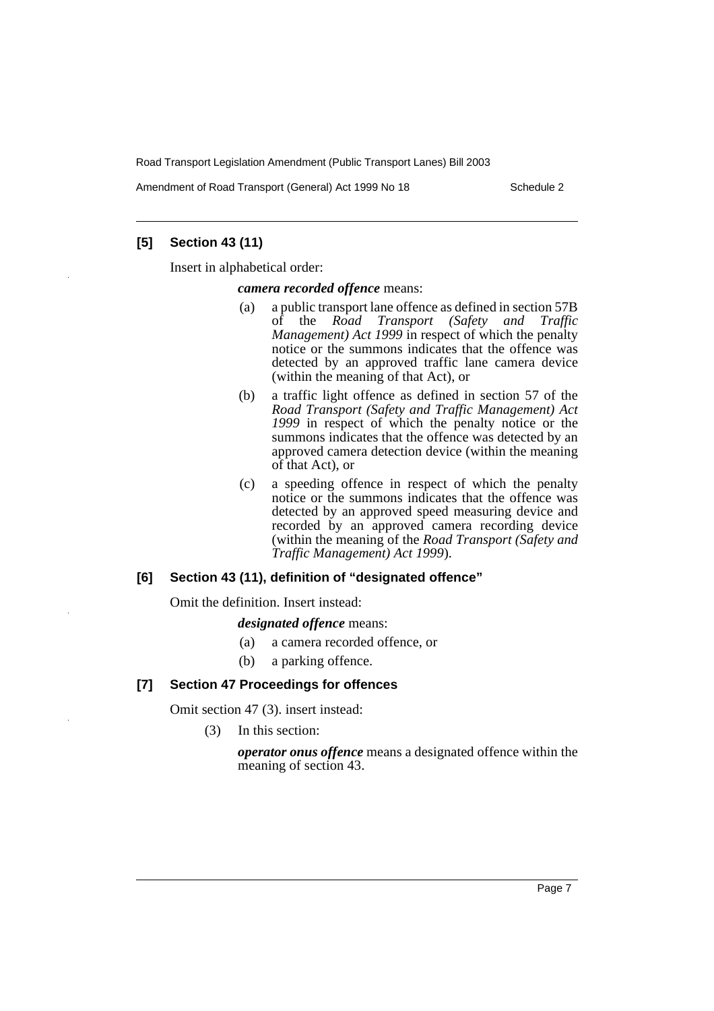Amendment of Road Transport (General) Act 1999 No 18 Schedule 2

## **[5] Section 43 (11)**

Insert in alphabetical order:

#### *camera recorded offence* means:

- (a) a public transport lane offence as defined in section 57B<br>of the Road Transport (Safety and Traffic **Road Transport (Safety and Traffic** *Management) Act 1999* in respect of which the penalty notice or the summons indicates that the offence was detected by an approved traffic lane camera device (within the meaning of that Act), or
- (b) a traffic light offence as defined in section 57 of the *Road Transport (Safety and Traffic Management) Act* 1999 in respect of which the penalty notice or the summons indicates that the offence was detected by an approved camera detection device (within the meaning of that Act), or
- (c) a speeding offence in respect of which the penalty notice or the summons indicates that the offence was detected by an approved speed measuring device and recorded by an approved camera recording device (within the meaning of the *Road Transport (Safety and Traffic Management) Act 1999*).

### **[6] Section 43 (11), definition of "designated offence"**

Omit the definition. Insert instead:

*designated offence* means:

- (a) a camera recorded offence, or
- (b) a parking offence.

### **[7] Section 47 Proceedings for offences**

Omit section 47 (3). insert instead:

(3) In this section:

*operator onus offence* means a designated offence within the meaning of section 43.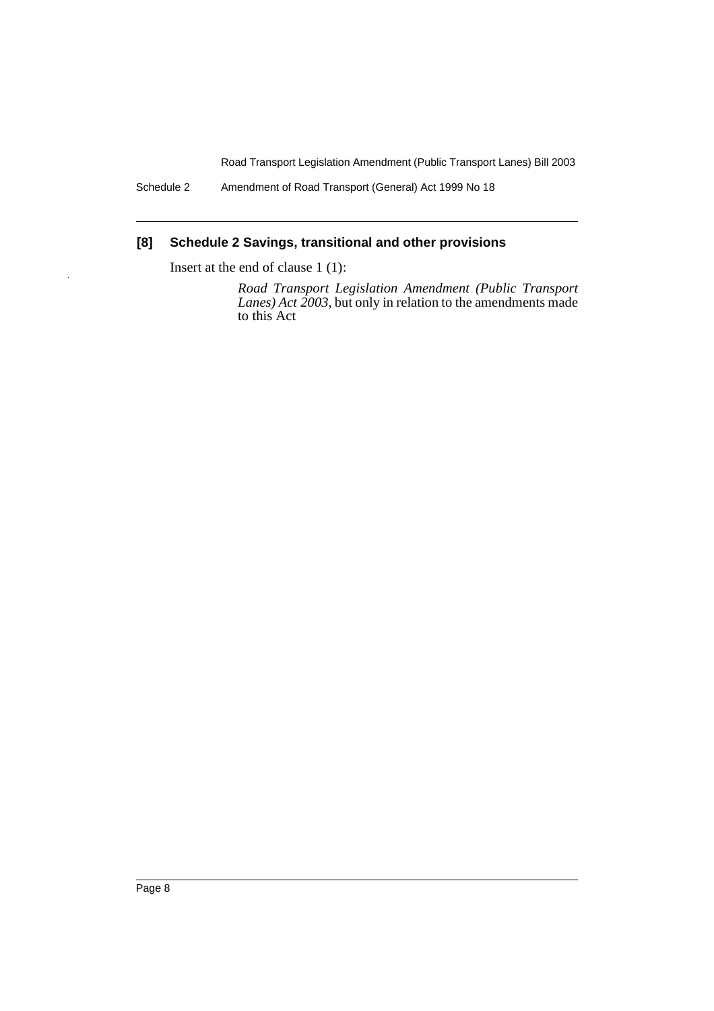Schedule 2 Amendment of Road Transport (General) Act 1999 No 18

# **[8] Schedule 2 Savings, transitional and other provisions**

Insert at the end of clause 1 (1):

*Road Transport Legislation Amendment (Public Transport Lanes) Act 2003*, but only in relation to the amendments made to this Act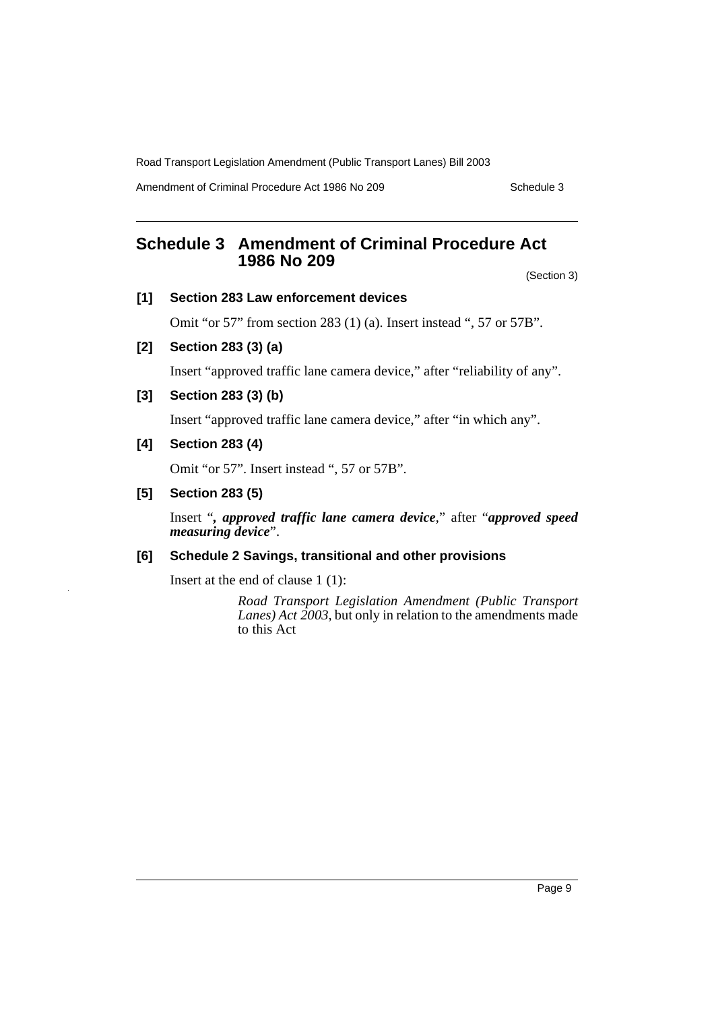Amendment of Criminal Procedure Act 1986 No 209 Schedule 3

# **Schedule 3 Amendment of Criminal Procedure Act 1986 No 209**

(Section 3)

#### **[1] Section 283 Law enforcement devices**

Omit "or 57" from section 283 (1) (a). Insert instead ", 57 or 57B".

**[2] Section 283 (3) (a)**

Insert "approved traffic lane camera device," after "reliability of any".

**[3] Section 283 (3) (b)**

Insert "approved traffic lane camera device," after "in which any".

**[4] Section 283 (4)**

Omit "or 57". Insert instead ", 57 or 57B".

**[5] Section 283 (5)**

Insert "*, approved traffic lane camera device*," after "*approved speed measuring device*".

### **[6] Schedule 2 Savings, transitional and other provisions**

Insert at the end of clause 1 (1):

*Road Transport Legislation Amendment (Public Transport Lanes) Act 2003*, but only in relation to the amendments made to this Act